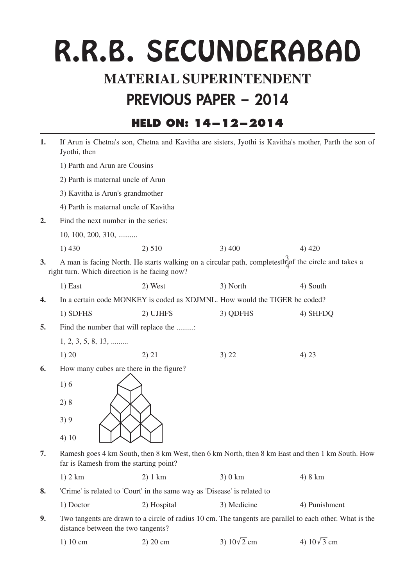# R.R.B. SECUNDERABAD

## **MATERIAL SUPERINTENDENT**

### **PREVIOUS PAPER - <sup>2014</sup>**

#### **HELD ON: 14-12-2014**

| 1.        | If Arun is Chetna's son, Chetna and Kavitha are sisters, Jyothi is Kavitha's mother, Parth the son of<br>Jyothi, then |             |                                                                                                          |                    |
|-----------|-----------------------------------------------------------------------------------------------------------------------|-------------|----------------------------------------------------------------------------------------------------------|--------------------|
|           | 1) Parth and Arun are Cousins                                                                                         |             |                                                                                                          |                    |
|           | 2) Parth is maternal uncle of Arun                                                                                    |             |                                                                                                          |                    |
|           | 3) Kavitha is Arun's grandmother                                                                                      |             |                                                                                                          |                    |
|           | 4) Parth is maternal uncle of Kavitha                                                                                 |             |                                                                                                          |                    |
| 2.        | Find the next number in the series:                                                                                   |             |                                                                                                          |                    |
|           | $10, 100, 200, 310, \ldots$                                                                                           |             |                                                                                                          |                    |
|           | 1)430                                                                                                                 | 2) 510      | 3)400                                                                                                    | 4) 420             |
| <b>3.</b> | right turn. Which direction is he facing now?                                                                         |             | A man is facing North. He starts walking on a circular path, completesthof the circle and takes a        |                    |
|           | 1) East                                                                                                               | 2) West     | 3) North                                                                                                 | 4) South           |
| 4.        |                                                                                                                       |             | In a certain code MONKEY is coded as XDJMNL. How would the TIGER be coded?                               |                    |
|           | 1) SDFHS                                                                                                              | 2) UJHFS    | 3) QDFHS                                                                                                 | 4) SHFDQ           |
| 5.        | Find the number that will replace the                                                                                 |             |                                                                                                          |                    |
|           | $1, 2, 3, 5, 8, 13, \dots$                                                                                            |             |                                                                                                          |                    |
|           | 1) 20                                                                                                                 | 2) 21       | 3) 22                                                                                                    | 4) 23              |
| 6.        | How many cubes are there in the figure?                                                                               |             |                                                                                                          |                    |
|           | 1)6                                                                                                                   |             |                                                                                                          |                    |
|           | 2)8                                                                                                                   |             |                                                                                                          |                    |
|           | 3)9                                                                                                                   |             |                                                                                                          |                    |
|           | 4)10                                                                                                                  |             |                                                                                                          |                    |
| 7.        | far is Ramesh from the starting point?                                                                                |             | Ramesh goes 4 km South, then 8 km West, then 6 km North, then 8 km East and then 1 km South. How         |                    |
|           | $1)$ 2 km                                                                                                             | $2)$ 1 km   | 3)0 km                                                                                                   | 4) 8 km            |
| 8.        | 'Crime' is related to 'Court' in the same way as 'Disease' is related to                                              |             |                                                                                                          |                    |
|           | 1) Doctor                                                                                                             | 2) Hospital | 3) Medicine                                                                                              | 4) Punishment      |
| 9.        | distance between the two tangents?                                                                                    |             | Two tangents are drawn to a circle of radius 10 cm. The tangents are parallel to each other. What is the |                    |
|           | 1) 10 cm                                                                                                              | 2) 20 cm    | 3) $10\sqrt{2}$ cm                                                                                       | 4) $10\sqrt{3}$ cm |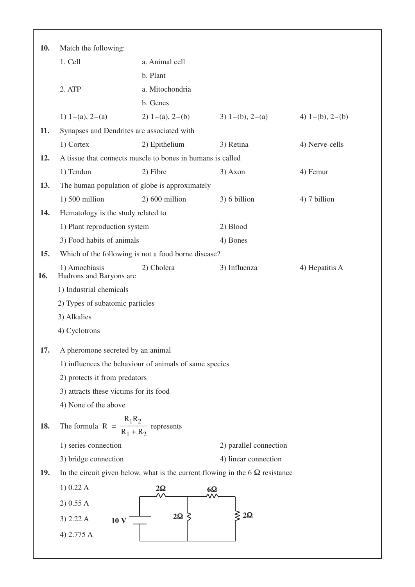| 10. | Match the following:                                       |                      |                                                                                      |                      |
|-----|------------------------------------------------------------|----------------------|--------------------------------------------------------------------------------------|----------------------|
|     | 1. Cell                                                    | a. Animal cell       |                                                                                      |                      |
|     |                                                            | b. Plant             |                                                                                      |                      |
|     | 2. ATP                                                     | a. Mitochondria      |                                                                                      |                      |
|     |                                                            | b. Genes             |                                                                                      |                      |
|     | 1) 1–(a), 2–(a)                                            | 2) $1-(a)$ , $2-(b)$ | 3) $1-(b)$ , $2-(a)$                                                                 | 4) $1-(b)$ , $2-(b)$ |
| 11. | Synapses and Dendrites are associated with                 |                      |                                                                                      |                      |
|     | 1) Cortex                                                  | 2) Epithelium        | 3) Retina                                                                            | 4) Nerve-cells       |
| 12. | A tissue that connects muscle to bones in humans is called |                      |                                                                                      |                      |
|     | 1) Tendon                                                  | 2) Fibre             | 3) Axon                                                                              | 4) Femur             |
| 13. | The human population of globe is approximately             |                      |                                                                                      |                      |
|     | $1)$ 500 million                                           | $2)$ 600 million     | 3) 6 billion                                                                         | 4) 7 billion         |
| 14. | Hematology is the study related to                         |                      |                                                                                      |                      |
|     | 1) Plant reproduction system                               |                      | 2) Blood                                                                             |                      |
|     | 3) Food habits of animals                                  |                      | 4) Bones                                                                             |                      |
| 15. | Which of the following is not a food borne disease?        |                      |                                                                                      |                      |
| 16. | 1) Amoebiasis<br>Hadrons and Baryons are                   | 2) Cholera           | 3) Influenza                                                                         | 4) Hepatitis A       |
|     | 1) Industrial chemicals                                    |                      |                                                                                      |                      |
|     | 2) Types of subatomic particles                            |                      |                                                                                      |                      |
|     | 3) Alkalies                                                |                      |                                                                                      |                      |
|     | 4) Cyclotrons                                              |                      |                                                                                      |                      |
| 17. | A pheromone secreted by an animal                          |                      |                                                                                      |                      |
|     | 1) influences the behaviour of animals of same species     |                      |                                                                                      |                      |
|     | 2) protects it from predators                              |                      |                                                                                      |                      |
|     | 3) attracts these victims for its food                     |                      |                                                                                      |                      |
|     | 4) None of the above                                       |                      |                                                                                      |                      |
| 18. | The formula $R = \frac{R_1 R_2}{R_1 + R_2}$ represents     |                      |                                                                                      |                      |
|     | 1) series connection                                       |                      | 2) parallel connection                                                               |                      |
|     | 3) bridge connection                                       |                      | 4) linear connection                                                                 |                      |
| 19. |                                                            |                      | In the circuit given below, what is the current flowing in the 6 $\Omega$ resistance |                      |
|     | 1) 0.22 A                                                  | $2\Omega$            | $6\Omega$                                                                            |                      |
|     | 2) 0.55 A                                                  |                      |                                                                                      |                      |
|     | 3) 2.22 A<br><b>10 V</b>                                   | $2\Omega$            | $2\Omega$                                                                            |                      |
|     | 4) 2.775 A                                                 |                      |                                                                                      |                      |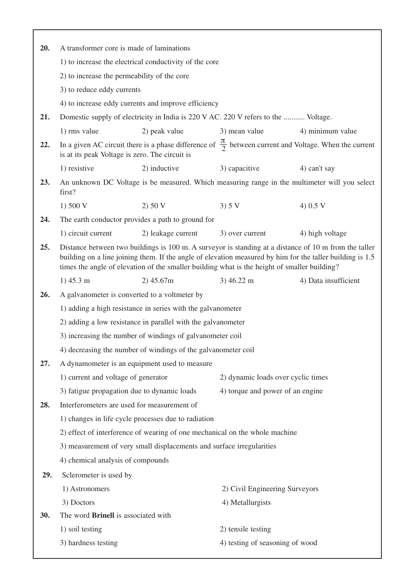| 20. | A transformer core is made of laminations                                                                                                                                                                                                                                                                          |                                                                       |                                                                                    |                                                                                                                    |
|-----|--------------------------------------------------------------------------------------------------------------------------------------------------------------------------------------------------------------------------------------------------------------------------------------------------------------------|-----------------------------------------------------------------------|------------------------------------------------------------------------------------|--------------------------------------------------------------------------------------------------------------------|
|     |                                                                                                                                                                                                                                                                                                                    | 1) to increase the electrical conductivity of the core                |                                                                                    |                                                                                                                    |
|     | 2) to increase the permeability of the core                                                                                                                                                                                                                                                                        |                                                                       |                                                                                    |                                                                                                                    |
|     | 3) to reduce eddy currents                                                                                                                                                                                                                                                                                         |                                                                       |                                                                                    |                                                                                                                    |
|     |                                                                                                                                                                                                                                                                                                                    | 4) to increase eddy currents and improve efficiency                   |                                                                                    |                                                                                                                    |
| 21. |                                                                                                                                                                                                                                                                                                                    |                                                                       | Domestic supply of electricity in India is 220 V AC. 220 V refers to the  Voltage. |                                                                                                                    |
|     | 1) rms value                                                                                                                                                                                                                                                                                                       | 2) peak value                                                         | 3) mean value                                                                      | 4) minimum value                                                                                                   |
| 22. | is at its peak Voltage is zero. The circuit is                                                                                                                                                                                                                                                                     |                                                                       |                                                                                    | In a given AC circuit there is a phase difference of $\frac{\pi}{2}$ between current and Voltage. When the current |
|     | 1) resistive                                                                                                                                                                                                                                                                                                       | 2) inductive                                                          | 3) capacitive                                                                      | 4) can't say                                                                                                       |
| 23. | first?                                                                                                                                                                                                                                                                                                             |                                                                       |                                                                                    | An unknown DC Voltage is be measured. Which measuring range in the multimeter will you select                      |
|     | 1) $500 V$                                                                                                                                                                                                                                                                                                         | 2) 50 V                                                               | 3) 5 V                                                                             | 4) $0.5 V$                                                                                                         |
| 24. |                                                                                                                                                                                                                                                                                                                    | The earth conductor provides a path to ground for                     |                                                                                    |                                                                                                                    |
|     | 1) circuit current                                                                                                                                                                                                                                                                                                 | 2) leakage current                                                    | 3) over current                                                                    | 4) high voltage                                                                                                    |
| 25. | Distance between two buildings is 100 m. A surveyor is standing at a distance of 10 m from the taller<br>building on a line joining them. If the angle of elevation measured by him for the taller building is 1.5<br>times the angle of elevation of the smaller building what is the height of smaller building? |                                                                       |                                                                                    |                                                                                                                    |
|     | $1)$ 45.3 m                                                                                                                                                                                                                                                                                                        | 2)45.67m                                                              | $3)$ 46.22 m                                                                       | 4) Data insufficient                                                                                               |
| 26. | A galvanometer is converted to a voltmeter by                                                                                                                                                                                                                                                                      |                                                                       |                                                                                    |                                                                                                                    |
|     |                                                                                                                                                                                                                                                                                                                    | 1) adding a high resistance in series with the galvanometer           |                                                                                    |                                                                                                                    |
|     |                                                                                                                                                                                                                                                                                                                    | 2) adding a low resistance in parallel with the galvanometer          |                                                                                    |                                                                                                                    |
|     |                                                                                                                                                                                                                                                                                                                    | 3) increasing the number of windings of galvanometer coil             |                                                                                    |                                                                                                                    |
|     |                                                                                                                                                                                                                                                                                                                    | 4) decreasing the number of windings of the galvanometer coil         |                                                                                    |                                                                                                                    |
| 27. | A dynamometer is an equipment used to measure                                                                                                                                                                                                                                                                      |                                                                       |                                                                                    |                                                                                                                    |
|     | 1) current and voltage of generator                                                                                                                                                                                                                                                                                |                                                                       | 2) dynamic loads over cyclic times                                                 |                                                                                                                    |
|     | 3) fatigue propagation due to dynamic loads                                                                                                                                                                                                                                                                        |                                                                       | 4) torque and power of an engine                                                   |                                                                                                                    |
| 28. | Interferometers are used for measurement of                                                                                                                                                                                                                                                                        |                                                                       |                                                                                    |                                                                                                                    |
|     |                                                                                                                                                                                                                                                                                                                    | 1) changes in life cycle processes due to radiation                   |                                                                                    |                                                                                                                    |
|     |                                                                                                                                                                                                                                                                                                                    |                                                                       | 2) effect of interference of wearing of one mechanical on the whole machine        |                                                                                                                    |
|     |                                                                                                                                                                                                                                                                                                                    | 3) measurement of very small displacements and surface irregularities |                                                                                    |                                                                                                                    |
|     | 4) chemical analysis of compounds                                                                                                                                                                                                                                                                                  |                                                                       |                                                                                    |                                                                                                                    |
| 29. | Sclerometer is used by                                                                                                                                                                                                                                                                                             |                                                                       |                                                                                    |                                                                                                                    |
|     | 1) Astronomers                                                                                                                                                                                                                                                                                                     |                                                                       | 2) Civil Engineering Surveyors                                                     |                                                                                                                    |
|     | 3) Doctors                                                                                                                                                                                                                                                                                                         |                                                                       | 4) Metallurgists                                                                   |                                                                                                                    |
| 30. | The word <b>Brinell</b> is associated with                                                                                                                                                                                                                                                                         |                                                                       |                                                                                    |                                                                                                                    |
|     | 1) soil testing                                                                                                                                                                                                                                                                                                    |                                                                       | 2) tensile testing                                                                 |                                                                                                                    |
|     | 3) hardness testing                                                                                                                                                                                                                                                                                                |                                                                       | 4) testing of seasoning of wood                                                    |                                                                                                                    |
|     |                                                                                                                                                                                                                                                                                                                    |                                                                       |                                                                                    |                                                                                                                    |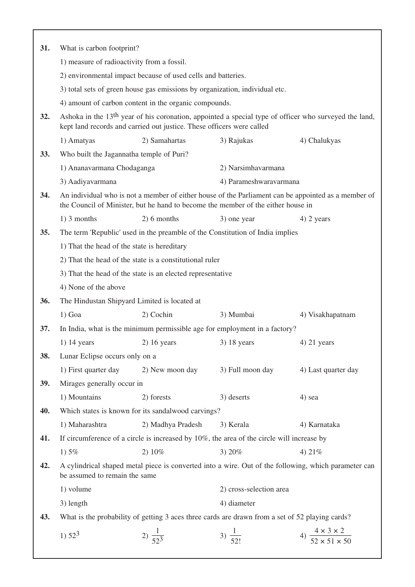| 31.        | What is carbon footprint?                                                                                                                                                                  |                                                                             |                                                                                                 |                                                                                                      |
|------------|--------------------------------------------------------------------------------------------------------------------------------------------------------------------------------------------|-----------------------------------------------------------------------------|-------------------------------------------------------------------------------------------------|------------------------------------------------------------------------------------------------------|
|            | 1) measure of radioactivity from a fossil.                                                                                                                                                 |                                                                             |                                                                                                 |                                                                                                      |
|            |                                                                                                                                                                                            | 2) environmental impact because of used cells and batteries.                |                                                                                                 |                                                                                                      |
|            |                                                                                                                                                                                            | 3) total sets of green house gas emissions by organization, individual etc. |                                                                                                 |                                                                                                      |
|            |                                                                                                                                                                                            | 4) amount of carbon content in the organic compounds.                       |                                                                                                 |                                                                                                      |
| 32.        | Ashoka in the 13 <sup>th</sup> year of his coronation, appointed a special type of officer who surveyed the land,<br>kept land records and carried out justice. These officers were called |                                                                             |                                                                                                 |                                                                                                      |
|            | 1) Amatyas                                                                                                                                                                                 | 2) Samahartas                                                               | 3) Rajukas                                                                                      | 4) Chalukyas                                                                                         |
| 33.        | Who built the Jagannatha temple of Puri?                                                                                                                                                   |                                                                             |                                                                                                 |                                                                                                      |
|            | 1) Ananavarmana Chodaganga                                                                                                                                                                 |                                                                             | 2) Narsimhavarmana                                                                              |                                                                                                      |
|            | 3) Aadiyavarmana                                                                                                                                                                           |                                                                             | 4) Parameshwaravarmana                                                                          |                                                                                                      |
| 34.        | An individual who is not a member of either house of the Parliament can be appointed as a member of<br>the Council of Minister, but he hand to become the member of the either house in    |                                                                             |                                                                                                 |                                                                                                      |
|            | $1)$ 3 months                                                                                                                                                                              | 2) 6 months                                                                 | 3) one year                                                                                     | $4)$ 2 years                                                                                         |
| 35.        |                                                                                                                                                                                            |                                                                             | The term 'Republic' used in the preamble of the Constitution of India implies                   |                                                                                                      |
|            | 1) That the head of the state is hereditary                                                                                                                                                |                                                                             |                                                                                                 |                                                                                                      |
|            | 2) That the head of the state is a constitutional ruler                                                                                                                                    |                                                                             |                                                                                                 |                                                                                                      |
|            | 3) That the head of the state is an elected representative                                                                                                                                 |                                                                             |                                                                                                 |                                                                                                      |
|            | 4) None of the above                                                                                                                                                                       |                                                                             |                                                                                                 |                                                                                                      |
| <b>36.</b> | The Hindustan Shipyard Limited is located at                                                                                                                                               |                                                                             |                                                                                                 |                                                                                                      |
|            | $1)$ Goa                                                                                                                                                                                   | 2) Cochin                                                                   | 3) Mumbai                                                                                       | 4) Visakhapatnam                                                                                     |
| 37.        |                                                                                                                                                                                            |                                                                             | In India, what is the minimum permissible age for employment in a factory?                      |                                                                                                      |
|            | $1)$ 14 years                                                                                                                                                                              | $2)$ 16 years                                                               | $3)$ 18 years                                                                                   | $4)$ 21 years                                                                                        |
| 38.        | Lunar Eclipse occurs only on a                                                                                                                                                             |                                                                             |                                                                                                 |                                                                                                      |
|            | 1) First quarter day                                                                                                                                                                       | 2) New moon day                                                             | 3) Full moon day                                                                                | 4) Last quarter day                                                                                  |
| 39.        | Mirages generally occur in                                                                                                                                                                 |                                                                             |                                                                                                 |                                                                                                      |
|            | 1) Mountains                                                                                                                                                                               | 2) forests                                                                  | 3) deserts                                                                                      | 4) sea                                                                                               |
| 40.        |                                                                                                                                                                                            | Which states is known for its sandalwood carvings?                          |                                                                                                 |                                                                                                      |
|            | 1) Maharashtra                                                                                                                                                                             | 2) Madhya Pradesh                                                           | 3) Kerala                                                                                       | 4) Karnataka                                                                                         |
| 41.        |                                                                                                                                                                                            |                                                                             | If circumference of a circle is increased by $10\%$ , the area of the circle will increase by   |                                                                                                      |
|            | 1) $5%$                                                                                                                                                                                    | 2)10%                                                                       | 3) 20%                                                                                          | 4) $21%$                                                                                             |
| 42.        | be assumed to remain the same                                                                                                                                                              |                                                                             |                                                                                                 | A cylindrical shaped metal piece is converted into a wire. Out of the following, which parameter can |
|            | 1) volume                                                                                                                                                                                  |                                                                             | 2) cross-selection area                                                                         |                                                                                                      |
|            | 3) length                                                                                                                                                                                  |                                                                             | 4) diameter                                                                                     |                                                                                                      |
| 43.        |                                                                                                                                                                                            |                                                                             | What is the probability of getting 3 aces three cards are drawn from a set of 52 playing cards? |                                                                                                      |
|            | 1) $52^3$                                                                                                                                                                                  | 2) $\frac{1}{52^3}$                                                         | 3) $\frac{1}{52!}$                                                                              | 4) $\frac{4 \times 3 \times 2}{52 \times 51 \times 50}$                                              |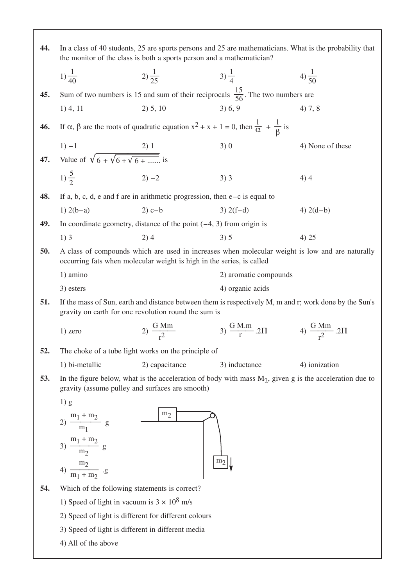| 44. | In a class of 40 students, 25 are sports persons and 25 are mathematicians. What is the probability that<br>the monitor of the class is both a sports person and a mathematician? |                                                                              |                                                                                                                            |                                                                                                            |
|-----|-----------------------------------------------------------------------------------------------------------------------------------------------------------------------------------|------------------------------------------------------------------------------|----------------------------------------------------------------------------------------------------------------------------|------------------------------------------------------------------------------------------------------------|
|     | $1)\frac{1}{40}$                                                                                                                                                                  | 2) $\frac{1}{25}$                                                            | $(3)\frac{1}{4}$                                                                                                           | 4) $\frac{1}{50}$                                                                                          |
| 45. |                                                                                                                                                                                   |                                                                              | Sum of two numbers is 15 and sum of their reciprocals $\frac{15}{56}$ . The two numbers are                                |                                                                                                            |
|     | $1)$ 4, 11                                                                                                                                                                        | 2) 5, 10                                                                     | 3) 6, 9                                                                                                                    | 4) 7, 8                                                                                                    |
| 46. |                                                                                                                                                                                   |                                                                              | If $\alpha$ , $\beta$ are the roots of quadratic equation $x^2 + x + 1 = 0$ , then $\frac{1}{\alpha} + \frac{1}{\beta}$ is |                                                                                                            |
|     |                                                                                                                                                                                   |                                                                              | 3)0                                                                                                                        | 4) None of these                                                                                           |
| 47. | 1) -1 2) 1<br>Value of $\sqrt{6 + \sqrt{6 + \sqrt{6 + \dots}}}}$ is                                                                                                               |                                                                              |                                                                                                                            |                                                                                                            |
|     | $2) -2$<br>1) $\frac{5}{2}$                                                                                                                                                       |                                                                              | $3)$ 3                                                                                                                     | 4)4                                                                                                        |
| 48. |                                                                                                                                                                                   | If a, b, c, d, e and f are in arithmetic progression, then $e-c$ is equal to |                                                                                                                            |                                                                                                            |
|     | 1) $2(b-a)$                                                                                                                                                                       | $2)c-b$                                                                      | $3) 2(f-d)$                                                                                                                | 4) $2(d-b)$                                                                                                |
| 49. |                                                                                                                                                                                   | In coordinate geometry, distance of the point $(-4, 3)$ from origin is       |                                                                                                                            |                                                                                                            |
|     | $1)$ 3                                                                                                                                                                            | 2)4                                                                          | 3) 5                                                                                                                       | 4) 25                                                                                                      |
| 50. | A class of compounds which are used in increases when molecular weight is low and are naturally<br>occurring fats when molecular weight is high in the series, is called          |                                                                              |                                                                                                                            |                                                                                                            |
|     | 1) amino                                                                                                                                                                          |                                                                              | 2) aromatic compounds                                                                                                      |                                                                                                            |
|     | 3) esters                                                                                                                                                                         |                                                                              | 4) organic acids                                                                                                           |                                                                                                            |
| 51. |                                                                                                                                                                                   | gravity on earth for one revolution round the sum is                         |                                                                                                                            | If the mass of Sun, earth and distance between them is respectively M, m and r; work done by the Sun's     |
|     | $1)$ zero                                                                                                                                                                         | 2) $\frac{G \text{ Mm}}{r^2}$                                                | 3) $\frac{G M.m}{r}$ 2 $\Pi$ 4) $\frac{G M m}{r^2}$ 2 $\Pi$                                                                |                                                                                                            |
| 52. |                                                                                                                                                                                   | The choke of a tube light works on the principle of                          |                                                                                                                            |                                                                                                            |
|     | 1) bi-metallic                                                                                                                                                                    | 2) capacitance                                                               | 3) inductance                                                                                                              | 4) ionization                                                                                              |
| 53. |                                                                                                                                                                                   | gravity (assume pulley and surfaces are smooth)                              |                                                                                                                            | In the figure below, what is the acceleration of body with mass $M_2$ , given g is the acceleration due to |
|     | 1) g                                                                                                                                                                              |                                                                              |                                                                                                                            |                                                                                                            |
|     | 2) $\frac{m_1 + m_2}{m_1}$ g                                                                                                                                                      | m <sub>2</sub>                                                               |                                                                                                                            |                                                                                                            |
|     | 3) $\frac{m_1 + m_2}{m_2}$ g                                                                                                                                                      |                                                                              |                                                                                                                            |                                                                                                            |
|     | 4) $\frac{m_2}{m_1 + m_2}$ .g                                                                                                                                                     |                                                                              | m <sub>2</sub>                                                                                                             |                                                                                                            |
|     |                                                                                                                                                                                   |                                                                              |                                                                                                                            |                                                                                                            |
| 54. | Which of the following statements is correct?                                                                                                                                     |                                                                              |                                                                                                                            |                                                                                                            |
|     | 1) Speed of light in vacuum is $3 \times 10^8$ m/s                                                                                                                                |                                                                              |                                                                                                                            |                                                                                                            |
|     |                                                                                                                                                                                   | 2) Speed of light is different for different colours                         |                                                                                                                            |                                                                                                            |
|     | 3) Speed of light is different in different media                                                                                                                                 |                                                                              |                                                                                                                            |                                                                                                            |
|     | 4) All of the above                                                                                                                                                               |                                                                              |                                                                                                                            |                                                                                                            |

 $\overline{ }$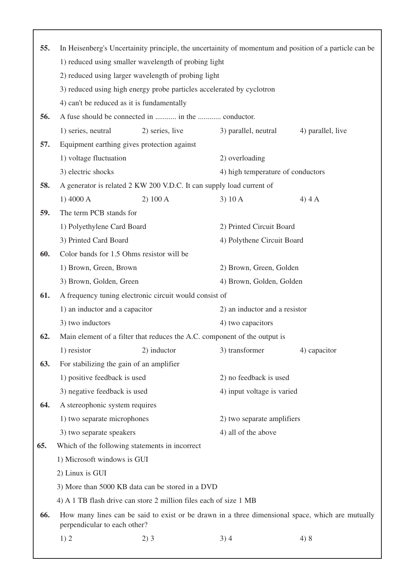| 55. | In Heisenberg's Uncertainity principle, the uncertainity of momentum and position of a particle can be |                                                                       |                                                                           |                                                                                                  |  |
|-----|--------------------------------------------------------------------------------------------------------|-----------------------------------------------------------------------|---------------------------------------------------------------------------|--------------------------------------------------------------------------------------------------|--|
|     |                                                                                                        | 1) reduced using smaller wavelength of probing light                  |                                                                           |                                                                                                  |  |
|     |                                                                                                        | 2) reduced using larger wavelength of probing light                   |                                                                           |                                                                                                  |  |
|     |                                                                                                        | 3) reduced using high energy probe particles accelerated by cyclotron |                                                                           |                                                                                                  |  |
|     | 4) can't be reduced as it is fundamentally                                                             |                                                                       |                                                                           |                                                                                                  |  |
| 56. |                                                                                                        | A fuse should be connected in  in the  conductor.                     |                                                                           |                                                                                                  |  |
|     | 1) series, neutral                                                                                     | 2) series, live                                                       | 3) parallel, neutral                                                      | 4) parallel, live                                                                                |  |
| 57. |                                                                                                        | Equipment earthing gives protection against                           |                                                                           |                                                                                                  |  |
|     | 1) voltage fluctuation                                                                                 |                                                                       | 2) overloading                                                            |                                                                                                  |  |
|     | 3) electric shocks<br>4) high temperature of conductors                                                |                                                                       |                                                                           |                                                                                                  |  |
| 58. |                                                                                                        | A generator is related 2 KW 200 V.D.C. It can supply load current of  |                                                                           |                                                                                                  |  |
|     | $1)$ 4000 A                                                                                            | 2) 100 A                                                              | 3) 10A                                                                    | $4)$ 4 A                                                                                         |  |
| 59. | The term PCB stands for                                                                                |                                                                       |                                                                           |                                                                                                  |  |
|     | 1) Polyethylene Card Board<br>2) Printed Circuit Board                                                 |                                                                       |                                                                           |                                                                                                  |  |
|     | 3) Printed Card Board                                                                                  |                                                                       | 4) Polythene Circuit Board                                                |                                                                                                  |  |
| 60. | Color bands for 1.5 Ohms resistor will be                                                              |                                                                       |                                                                           |                                                                                                  |  |
|     | 1) Brown, Green, Brown<br>2) Brown, Green, Golden                                                      |                                                                       |                                                                           |                                                                                                  |  |
|     | 3) Brown, Golden, Green<br>4) Brown, Golden, Golden                                                    |                                                                       |                                                                           |                                                                                                  |  |
| 61. |                                                                                                        | A frequency tuning electronic circuit would consist of                |                                                                           |                                                                                                  |  |
|     | 1) an inductor and a capacitor                                                                         |                                                                       | 2) an inductor and a resistor                                             |                                                                                                  |  |
|     | 3) two inductors                                                                                       |                                                                       | 4) two capacitors                                                         |                                                                                                  |  |
| 62. |                                                                                                        |                                                                       | Main element of a filter that reduces the A.C. component of the output is |                                                                                                  |  |
|     | 1) resistor                                                                                            | 2) inductor                                                           | 3) transformer                                                            | 4) capacitor                                                                                     |  |
| 63. | For stabilizing the gain of an amplifier                                                               |                                                                       |                                                                           |                                                                                                  |  |
|     | 1) positive feedback is used                                                                           |                                                                       |                                                                           | 2) no feedback is used                                                                           |  |
|     | 3) negative feedback is used                                                                           |                                                                       |                                                                           | 4) input voltage is varied                                                                       |  |
| 64. | A stereophonic system requires                                                                         |                                                                       |                                                                           |                                                                                                  |  |
|     | 1) two separate microphones                                                                            |                                                                       | 2) two separate amplifiers                                                |                                                                                                  |  |
|     | 3) two separate speakers                                                                               |                                                                       | 4) all of the above                                                       |                                                                                                  |  |
| 65. |                                                                                                        | Which of the following statements in incorrect                        |                                                                           |                                                                                                  |  |
|     | 1) Microsoft windows is GUI                                                                            |                                                                       |                                                                           |                                                                                                  |  |
|     | 2) Linux is GUI                                                                                        |                                                                       |                                                                           |                                                                                                  |  |
|     |                                                                                                        | 3) More than 5000 KB data can be stored in a DVD                      |                                                                           |                                                                                                  |  |
|     |                                                                                                        | 4) A 1 TB flash drive can store 2 million files each of size 1 MB     |                                                                           |                                                                                                  |  |
| 66. | perpendicular to each other?                                                                           |                                                                       |                                                                           | How many lines can be said to exist or be drawn in a three dimensional space, which are mutually |  |
|     | 1)2                                                                                                    | 2)3                                                                   | 3)4                                                                       | 4)8                                                                                              |  |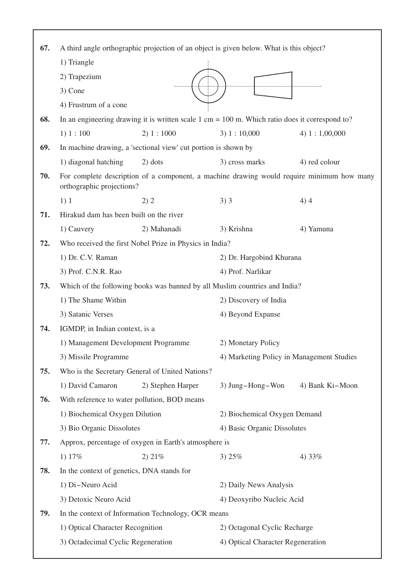| 67. | A third angle orthographic projection of an object is given below. What is this object? |                                                                |                                                                                                                   |                                                                                           |
|-----|-----------------------------------------------------------------------------------------|----------------------------------------------------------------|-------------------------------------------------------------------------------------------------------------------|-------------------------------------------------------------------------------------------|
|     | 1) Triangle                                                                             |                                                                |                                                                                                                   |                                                                                           |
|     | 2) Trapezium                                                                            |                                                                |                                                                                                                   |                                                                                           |
|     | 3) Cone                                                                                 |                                                                |                                                                                                                   |                                                                                           |
|     | 4) Frustrum of a cone                                                                   |                                                                |                                                                                                                   |                                                                                           |
| 68. |                                                                                         |                                                                | In an engineering drawing it is written scale $1 \text{ cm} = 100 \text{ m}$ . Which ratio does it correspond to? |                                                                                           |
|     | 1) 1: 100                                                                               | 2) 1 : 1000                                                    | 3) 1 : 10,000                                                                                                     | 4) $1:1,00,000$                                                                           |
| 69. |                                                                                         | In machine drawing, a 'sectional view' cut portion is shown by |                                                                                                                   |                                                                                           |
|     | 1) diagonal hatching                                                                    | 2) dots                                                        | 3) cross marks                                                                                                    | 4) red colour                                                                             |
| 70. | orthographic projections?                                                               |                                                                |                                                                                                                   | For complete description of a component, a machine drawing would require minimum how many |
|     | 1)1                                                                                     | 2) 2                                                           | $3)$ 3                                                                                                            | 4)4                                                                                       |
| 71. | Hirakud dam has been built on the river                                                 |                                                                |                                                                                                                   |                                                                                           |
|     | 1) Cauvery                                                                              | 2) Mahanadi                                                    | 3) Krishna                                                                                                        | 4) Yamuna                                                                                 |
| 72. |                                                                                         | Who received the first Nobel Prize in Physics in India?        |                                                                                                                   |                                                                                           |
|     | 1) Dr. C.V. Raman                                                                       |                                                                | 2) Dr. Hargobind Khurana                                                                                          |                                                                                           |
|     | 3) Prof. C.N.R. Rao                                                                     |                                                                | 4) Prof. Narlikar                                                                                                 |                                                                                           |
| 73. | Which of the following books was banned by all Muslim countries and India?              |                                                                |                                                                                                                   |                                                                                           |
|     | 1) The Shame Within                                                                     |                                                                | 2) Discovery of India                                                                                             |                                                                                           |
|     | 3) Satanic Verses                                                                       |                                                                | 4) Beyond Expanse                                                                                                 |                                                                                           |
| 74. | IGMDP, in Indian context, is a                                                          |                                                                |                                                                                                                   |                                                                                           |
|     | 1) Management Development Programme                                                     |                                                                | 2) Monetary Policy                                                                                                |                                                                                           |
|     | 3) Missile Programme                                                                    |                                                                | 4) Marketing Policy in Management Studies                                                                         |                                                                                           |
| 75. |                                                                                         | Who is the Secretary General of United Nations?                |                                                                                                                   |                                                                                           |
|     | 1) David Camaron                                                                        | 2) Stephen Harper                                              | 3) Jung-Hong-Won                                                                                                  | 4) Bank Ki-Moon                                                                           |
| 76. | With reference to water pollution, BOD means                                            |                                                                |                                                                                                                   |                                                                                           |
|     | 1) Biochemical Oxygen Dilution                                                          |                                                                | 2) Biochemical Oxygen Demand                                                                                      |                                                                                           |
|     | 3) Bio Organic Dissolutes                                                               |                                                                | 4) Basic Organic Dissolutes                                                                                       |                                                                                           |
| 77. |                                                                                         | Approx, percentage of oxygen in Earth's atmosphere is          |                                                                                                                   |                                                                                           |
|     | 1) 17%                                                                                  | 2) 21%                                                         | 3) $25%$                                                                                                          | 4) $33%$                                                                                  |
| 78. | In the context of genetics, DNA stands for                                              |                                                                |                                                                                                                   |                                                                                           |
|     | 1) Di-Neuro Acid                                                                        |                                                                | 2) Daily News Analysis                                                                                            |                                                                                           |
|     | 3) Detoxic Neuro Acid                                                                   |                                                                | 4) Deoxyribo Nucleic Acid                                                                                         |                                                                                           |
| 79. |                                                                                         | In the context of Information Technology, OCR means            |                                                                                                                   |                                                                                           |
|     | 1) Optical Character Recognition                                                        |                                                                | 2) Octagonal Cyclic Recharge                                                                                      |                                                                                           |
|     | 3) Octadecimal Cyclic Regeneration                                                      |                                                                | 4) Optical Character Regeneration                                                                                 |                                                                                           |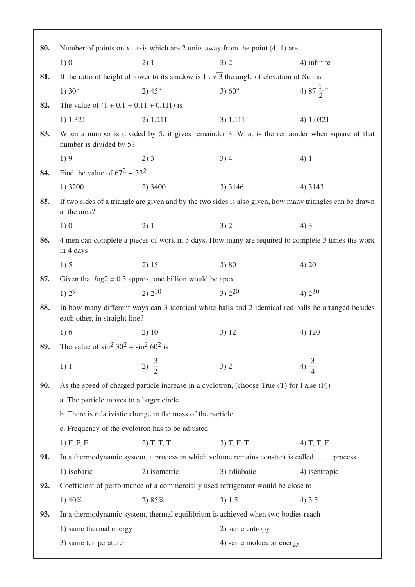| 80. | Number of points on $x$ -axis which are 2 units away from the point $(4, 1)$ are |                                                             |                                                                                                |                                                                                                          |
|-----|----------------------------------------------------------------------------------|-------------------------------------------------------------|------------------------------------------------------------------------------------------------|----------------------------------------------------------------------------------------------------------|
|     | 1)0                                                                              | 2)1                                                         | 3)2                                                                                            | 4) infinite                                                                                              |
| 81. |                                                                                  |                                                             | If the ratio of height of tower to its shadow is $1:\sqrt{3}$ the angle of elevation of Sun is |                                                                                                          |
|     | 1) $30^{\circ}$                                                                  | $2) 45^{\circ}$                                             | 3) $60^{\circ}$                                                                                | 4) $87\frac{1}{2}$ °                                                                                     |
| 82. | The value of $(1 + 0.1 + 0.11 + 0.111)$ is                                       |                                                             |                                                                                                |                                                                                                          |
|     | 1) 1.321                                                                         | 2) 1.211                                                    | 3) 1.111                                                                                       | 4) 1.0321                                                                                                |
| 83. | number is divided by 5?                                                          |                                                             |                                                                                                | When a number is divided by 5, it gives remainder 3. What is the remainder when square of that           |
|     | 1)9                                                                              | 2)3                                                         | 3)4                                                                                            | 4)1                                                                                                      |
| 84. | Find the value of $67^2$ – 33 <sup>2</sup>                                       |                                                             |                                                                                                |                                                                                                          |
|     | 1) 3200                                                                          | 2) 3400                                                     | 3) 3146                                                                                        | 4) 3143                                                                                                  |
| 85. | at the area?                                                                     |                                                             |                                                                                                | If two sides of a triangle are given and by the two sides is also given, how many triangles can be drawn |
|     | 1)0                                                                              | 2)1                                                         | 3)2                                                                                            | 4)3                                                                                                      |
| 86. | in 4 days                                                                        |                                                             |                                                                                                | 4 men can complete a pieces of work in 5 days. How many are required to complete 3 times the work        |
|     | 1)5                                                                              | 2) 15                                                       | 3) 80                                                                                          | 4) 20                                                                                                    |
| 87. |                                                                                  | Given that $log2 = 0.3$ approx, one billion would be apex   |                                                                                                |                                                                                                          |
|     | 1) $2^9$                                                                         | 2) 2 <sup>10</sup>                                          | $3)$ $2^{20}$                                                                                  | 4) $2^{30}$                                                                                              |
| 88. | each other, in straight line?                                                    |                                                             |                                                                                                | In how many different ways can 3 identical white balls and 2 identical red balls he arranged besides     |
|     | 1)6                                                                              | 2)10                                                        | 3) 12                                                                                          | 4) 120                                                                                                   |
| 89. | The value of $\sin^2 30^2 + \sin^2 60^2$ is                                      |                                                             |                                                                                                |                                                                                                          |
|     | 1)1                                                                              | 2) $\frac{3}{2}$                                            | 3)2                                                                                            | 4) $\frac{3}{4}$                                                                                         |
| 90. |                                                                                  |                                                             | As the speed of charged particle increase in a cyclotron, (choose True (T) for False (F))      |                                                                                                          |
|     | a. The particle moves to a larger circle                                         |                                                             |                                                                                                |                                                                                                          |
|     |                                                                                  | b. There is relativistic change in the mass of the particle |                                                                                                |                                                                                                          |
|     | c. Frequency of the cyclotron has to be adjusted                                 |                                                             |                                                                                                |                                                                                                          |
|     | $1)$ F, F, F                                                                     | $2)$ T, T, T                                                | $3)$ T, F, T                                                                                   | $4)$ T, T, F                                                                                             |
| 91. |                                                                                  |                                                             | In a thermodynamic system, a process in which volume remains constant is called  process.      |                                                                                                          |
|     | 1) isobaric                                                                      | 2) isometric                                                | 3) adiabatic                                                                                   | 4) isentropic                                                                                            |
| 92. |                                                                                  |                                                             | Coefficient of performance of a commercially used refrigerator would be close to               |                                                                                                          |
|     | 1) $40%$                                                                         | 2) 85%                                                      | 3) 1.5                                                                                         | 4)3.5                                                                                                    |
| 93. |                                                                                  |                                                             | In a thermodynamic system, thermal equilibrium is achieved when two bodies reach               |                                                                                                          |
|     | 1) same thermal energy                                                           |                                                             | 2) same entropy                                                                                |                                                                                                          |
|     | 3) same temperature                                                              |                                                             | 4) same molecular energy                                                                       |                                                                                                          |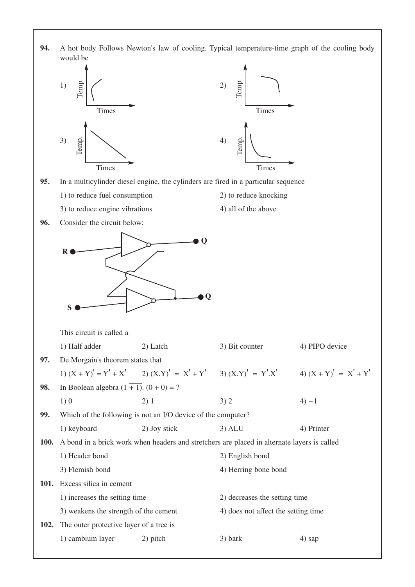



- **95.** In a multicylinder diesel engine, the cylinders are fired in a particular sequence
	- 1) to reduce fuel consumption 2) to reduce knocking
	- 3) to reduce engine vibrations 4) all of the above
- -

**96.** Consider the circuit below:



This circuit is called a

|             | 1) Half adder                                                                               | 2) Latch                                                     | 3) Bit counter                                                                           | 4) PIPO device |
|-------------|---------------------------------------------------------------------------------------------|--------------------------------------------------------------|------------------------------------------------------------------------------------------|----------------|
| 97.         | De Morgain's theorem states that                                                            |                                                              |                                                                                          |                |
|             |                                                                                             |                                                              | 1) $(X + Y)' = Y' + X'$ 2) $(X,Y)' = X' + Y'$ 3) $(X,Y)' = Y'X'$ 4) $(X + Y)' = X' + Y'$ |                |
| 98.         | In Boolean algebra $(1 + 1)$ . $(0 + 0) = ?$                                                |                                                              |                                                                                          |                |
|             | 1)0                                                                                         | 2) 1                                                         | 3)2                                                                                      | $4) - 1$       |
| 99.         |                                                                                             | Which of the following is not an I/O device of the computer? |                                                                                          |                |
|             | 1) keyboard                                                                                 | 2) Joy stick                                                 | $3)$ ALU                                                                                 | 4) Printer     |
| <b>100.</b> | A bond in a brick work when headers and stretchers are placed in alternate layers is called |                                                              |                                                                                          |                |
|             | 1) Header bond                                                                              |                                                              | 2) English bond                                                                          |                |
|             | 3) Flemish bond                                                                             |                                                              | 4) Herring bone bond                                                                     |                |
|             | 101. Excess silica in cement                                                                |                                                              |                                                                                          |                |
|             | 1) increases the setting time                                                               |                                                              | 2) decreases the setting time                                                            |                |
|             | 3) weakens the strength of the cement                                                       |                                                              | 4) does not affect the setting time                                                      |                |
| <b>102.</b> | The outer protective layer of a tree is                                                     |                                                              |                                                                                          |                |
|             | 1) cambium layer                                                                            | 2) pitch                                                     | $3)$ bark                                                                                | 4) sap         |
|             |                                                                                             |                                                              |                                                                                          |                |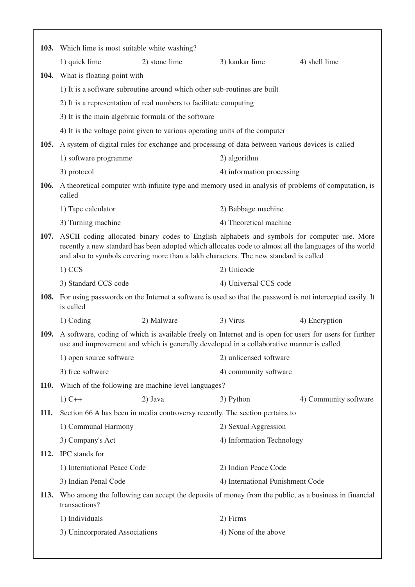|             | 103. Which lime is most suitable white washing?                                                                                                                                                                                                                                                    |                                                                             |                                                                                                      |                                                                                                                  |
|-------------|----------------------------------------------------------------------------------------------------------------------------------------------------------------------------------------------------------------------------------------------------------------------------------------------------|-----------------------------------------------------------------------------|------------------------------------------------------------------------------------------------------|------------------------------------------------------------------------------------------------------------------|
|             | 1) quick lime                                                                                                                                                                                                                                                                                      | 2) stone lime                                                               | 3) kankar lime                                                                                       | 4) shell lime                                                                                                    |
|             | 104. What is floating point with                                                                                                                                                                                                                                                                   |                                                                             |                                                                                                      |                                                                                                                  |
|             |                                                                                                                                                                                                                                                                                                    | 1) It is a software subroutine around which other sub-routines are built    |                                                                                                      |                                                                                                                  |
|             |                                                                                                                                                                                                                                                                                                    | 2) It is a representation of real numbers to facilitate computing           |                                                                                                      |                                                                                                                  |
|             |                                                                                                                                                                                                                                                                                                    | 3) It is the main algebraic formula of the software                         |                                                                                                      |                                                                                                                  |
|             |                                                                                                                                                                                                                                                                                                    | 4) It is the voltage point given to various operating units of the computer |                                                                                                      |                                                                                                                  |
|             |                                                                                                                                                                                                                                                                                                    |                                                                             | 105. A system of digital rules for exchange and processing of data between various devices is called |                                                                                                                  |
|             | 1) software programme                                                                                                                                                                                                                                                                              |                                                                             | 2) algorithm                                                                                         |                                                                                                                  |
|             | 3) protocol                                                                                                                                                                                                                                                                                        |                                                                             | 4) information processing                                                                            |                                                                                                                  |
|             | called                                                                                                                                                                                                                                                                                             |                                                                             |                                                                                                      | <b>106.</b> A theoretical computer with infinite type and memory used in analysis of problems of computation, is |
|             | 1) Tape calculator<br>2) Babbage machine                                                                                                                                                                                                                                                           |                                                                             |                                                                                                      |                                                                                                                  |
|             | 3) Turning machine                                                                                                                                                                                                                                                                                 |                                                                             | 4) Theoretical machine                                                                               |                                                                                                                  |
|             | 107. ASCII coding allocated binary codes to English alphabets and symbols for computer use. More<br>recently a new standard has been adopted which allocates code to almost all the languages of the world<br>and also to symbols covering more than a lakh characters. The new standard is called |                                                                             |                                                                                                      |                                                                                                                  |
|             | $1)$ CCS<br>2) Unicode                                                                                                                                                                                                                                                                             |                                                                             |                                                                                                      |                                                                                                                  |
|             | 3) Standard CCS code                                                                                                                                                                                                                                                                               |                                                                             | 4) Universal CCS code                                                                                |                                                                                                                  |
|             | is called                                                                                                                                                                                                                                                                                          |                                                                             |                                                                                                      | 108. For using passwords on the Internet a software is used so that the password is not intercepted easily. It   |
|             | 1) Coding                                                                                                                                                                                                                                                                                          | 2) Malware                                                                  | 3) Virus                                                                                             | 4) Encryption                                                                                                    |
|             |                                                                                                                                                                                                                                                                                                    |                                                                             | use and improvement and which is generally developed in a collaborative manner is called             | 109. A software, coding of which is available freely on Internet and is open for users for users for further     |
|             | 1) open source software                                                                                                                                                                                                                                                                            |                                                                             | 2) unlicensed software                                                                               |                                                                                                                  |
|             | 3) free software                                                                                                                                                                                                                                                                                   |                                                                             | 4) community software                                                                                |                                                                                                                  |
| <b>110.</b> | Which of the following are machine level languages?                                                                                                                                                                                                                                                |                                                                             |                                                                                                      |                                                                                                                  |
|             | $1)$ C++                                                                                                                                                                                                                                                                                           | 2) Java                                                                     | 3) Python                                                                                            | 4) Community software                                                                                            |
| 111.        |                                                                                                                                                                                                                                                                                                    |                                                                             | Section 66 A has been in media controversy recently. The section pertains to                         |                                                                                                                  |
|             | 1) Communal Harmony                                                                                                                                                                                                                                                                                |                                                                             | 2) Sexual Aggression                                                                                 |                                                                                                                  |
|             | 3) Company's Act                                                                                                                                                                                                                                                                                   |                                                                             | 4) Information Technology                                                                            |                                                                                                                  |
| <b>112.</b> | IPC stands for                                                                                                                                                                                                                                                                                     |                                                                             |                                                                                                      |                                                                                                                  |
|             | 1) International Peace Code                                                                                                                                                                                                                                                                        |                                                                             | 2) Indian Peace Code                                                                                 |                                                                                                                  |
|             | 3) Indian Penal Code                                                                                                                                                                                                                                                                               |                                                                             | 4) International Punishment Code                                                                     |                                                                                                                  |
| <b>113.</b> | transactions?                                                                                                                                                                                                                                                                                      |                                                                             |                                                                                                      | Who among the following can accept the deposits of money from the public, as a business in financial             |
|             | 1) Individuals                                                                                                                                                                                                                                                                                     |                                                                             | 2) Firms                                                                                             |                                                                                                                  |
|             | 3) Unincorporated Associations                                                                                                                                                                                                                                                                     |                                                                             | 4) None of the above                                                                                 |                                                                                                                  |
|             |                                                                                                                                                                                                                                                                                                    |                                                                             |                                                                                                      |                                                                                                                  |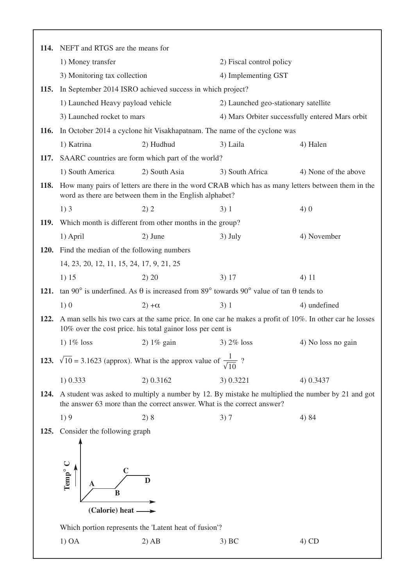|      | 114. NEFT and RTGS are the means for                                                                                                                               |                                                                         |                                      |                                                                                                         |  |
|------|--------------------------------------------------------------------------------------------------------------------------------------------------------------------|-------------------------------------------------------------------------|--------------------------------------|---------------------------------------------------------------------------------------------------------|--|
|      | 1) Money transfer                                                                                                                                                  |                                                                         | 2) Fiscal control policy             |                                                                                                         |  |
|      | 3) Monitoring tax collection                                                                                                                                       |                                                                         | 4) Implementing GST                  |                                                                                                         |  |
|      | 115. In September 2014 ISRO achieved success in which project?                                                                                                     |                                                                         |                                      |                                                                                                         |  |
|      | 1) Launched Heavy payload vehicle                                                                                                                                  |                                                                         | 2) Launched geo-stationary satellite |                                                                                                         |  |
|      | 3) Launched rocket to mars                                                                                                                                         |                                                                         |                                      | 4) Mars Orbiter successfully entered Mars orbit                                                         |  |
|      | 116. In October 2014 a cyclone hit Visakhapatnam. The name of the cyclone was                                                                                      |                                                                         |                                      |                                                                                                         |  |
|      | 1) Katrina                                                                                                                                                         | 2) Hudhud                                                               | 3) Laila                             | 4) Halen                                                                                                |  |
|      | 117. SAARC countries are form which part of the world?                                                                                                             |                                                                         |                                      |                                                                                                         |  |
|      | 1) South America                                                                                                                                                   | 2) South Asia                                                           | 3) South Africa                      | 4) None of the above                                                                                    |  |
|      | 118. How many pairs of letters are there in the word CRAB which has as many letters between them in the<br>word as there are between them in the English alphabet? |                                                                         |                                      |                                                                                                         |  |
|      | 1)3                                                                                                                                                                | 2) 2                                                                    | 3)1                                  | 4)0                                                                                                     |  |
|      | 119. Which month is different from other months in the group?                                                                                                      |                                                                         |                                      |                                                                                                         |  |
|      | 1) April                                                                                                                                                           | 2) June                                                                 | $3)$ July                            | 4) November                                                                                             |  |
|      | 120. Find the median of the following numbers                                                                                                                      |                                                                         |                                      |                                                                                                         |  |
|      | 14, 23, 20, 12, 11, 15, 24, 17, 9, 21, 25                                                                                                                          |                                                                         |                                      |                                                                                                         |  |
|      | 1) 15                                                                                                                                                              | 2) 20                                                                   | 3) 17                                | 4) 11                                                                                                   |  |
|      | 121. tan 90° is underfined. As $\theta$ is increased from 89° towards 90° value of tan $\theta$ tends to                                                           |                                                                         |                                      |                                                                                                         |  |
|      | 1)0                                                                                                                                                                | $2)+\alpha$                                                             | 3)1                                  | 4) undefined                                                                                            |  |
| 122. |                                                                                                                                                                    | 10% over the cost price. his total gainor loss per cent is              |                                      | A man sells his two cars at the same price. In one car he makes a profit of 10%. In other car he losses |  |
|      | 1) $1\%$ loss                                                                                                                                                      | 2) $1\%$ gain                                                           | $3)$ 2% loss                         | 4) No loss no gain                                                                                      |  |
|      | <b>123.</b> $\sqrt{10} = 3.1623$ (approx). What is the approx value of $\frac{1}{\sqrt{10}}$ ?                                                                     |                                                                         |                                      |                                                                                                         |  |
|      | 1) 0.333                                                                                                                                                           | 2) 0.3162                                                               | 3) 0.3221                            | 4) 0.3437                                                                                               |  |
| 124. |                                                                                                                                                                    | the answer 63 more than the correct answer. What is the correct answer? |                                      | A student was asked to multiply a number by 12. By mistake he multiplied the number by 21 and got       |  |
|      | 1)9                                                                                                                                                                | 2)8                                                                     | 3)7                                  | 4) 84                                                                                                   |  |
| 125. | Consider the following graph                                                                                                                                       |                                                                         |                                      |                                                                                                         |  |
|      | Temp <sup>o</sup> C<br>B<br>(Calorie) heat -                                                                                                                       | D<br>Which portion represents the 'Latent heat of fusion'?              |                                      |                                                                                                         |  |
|      | 1) OA                                                                                                                                                              | $2)$ AB                                                                 | 3) BC                                | $4)$ CD                                                                                                 |  |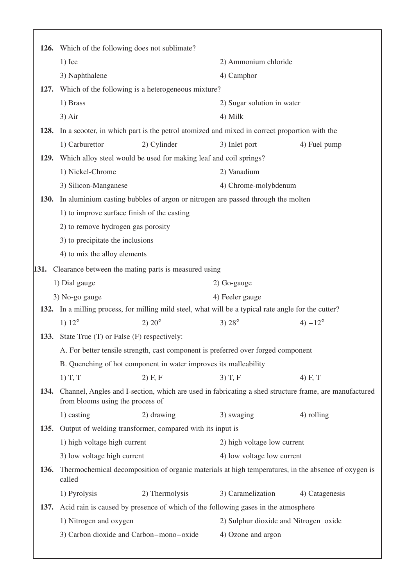| <b>126.</b> |                                                                                 | Which of the following does not sublimate?                                                            |                                       |                  |
|-------------|---------------------------------------------------------------------------------|-------------------------------------------------------------------------------------------------------|---------------------------------------|------------------|
|             | $1)$ Ice                                                                        |                                                                                                       | 2) Ammonium chloride                  |                  |
|             | 3) Naphthalene                                                                  |                                                                                                       | 4) Camphor                            |                  |
| 127.        |                                                                                 | Which of the following is a heterogeneous mixture?                                                    |                                       |                  |
|             | 1) Brass                                                                        |                                                                                                       | 2) Sugar solution in water            |                  |
|             | 3) Air                                                                          |                                                                                                       | 4) Milk                               |                  |
| 128.        |                                                                                 | In a scooter, in which part is the petrol atomized and mixed in correct proportion with the           |                                       |                  |
|             | 1) Carburettor                                                                  | 2) Cylinder                                                                                           | 3) Inlet port                         | 4) Fuel pump     |
| 129.        |                                                                                 | Which alloy steel would be used for making leaf and coil springs?                                     |                                       |                  |
|             | 1) Nickel-Chrome                                                                |                                                                                                       | 2) Vanadium                           |                  |
|             | 3) Silicon-Manganese                                                            |                                                                                                       | 4) Chrome-molybdenum                  |                  |
| <b>130.</b> | In aluminium casting bubbles of argon or nitrogen are passed through the molten |                                                                                                       |                                       |                  |
|             |                                                                                 | 1) to improve surface finish of the casting                                                           |                                       |                  |
|             | 2) to remove hydrogen gas porosity                                              |                                                                                                       |                                       |                  |
|             | 3) to precipitate the inclusions                                                |                                                                                                       |                                       |                  |
|             | 4) to mix the alloy elements                                                    |                                                                                                       |                                       |                  |
| 131.        |                                                                                 | Clearance between the mating parts is measured using                                                  |                                       |                  |
|             | 1) Dial gauge                                                                   |                                                                                                       | 2) Go-gauge                           |                  |
|             | 3) No-go gauge                                                                  |                                                                                                       | 4) Feeler gauge                       |                  |
|             |                                                                                 | 132. In a milling process, for milling mild steel, what will be a typical rate angle for the cutter?  |                                       |                  |
|             | 1) $12^{\circ}$                                                                 | $2) 20^{\circ}$                                                                                       | 3) $28^{\circ}$                       | 4) $-12^{\circ}$ |
|             | 133. State True (T) or False (F) respectively:                                  |                                                                                                       |                                       |                  |
|             |                                                                                 | A. For better tensile strength, cast component is preferred over forged component                     |                                       |                  |
|             |                                                                                 | B. Quenching of hot component in water improves its malleability                                      |                                       |                  |
|             | $1)$ T, T                                                                       | $2)$ F, F                                                                                             | $3)$ T, F                             | 4) F, T          |
| 134.        | from blooms using the process of                                                | Channel, Angles and I-section, which are used in fabricating a shed structure frame, are manufactured |                                       |                  |
|             | 1) casting                                                                      | 2) drawing                                                                                            | 3) swaging                            | 4) rolling       |
| <b>135.</b> |                                                                                 | Output of welding transformer, compared with its input is                                             |                                       |                  |
|             | 1) high voltage high current                                                    |                                                                                                       | 2) high voltage low current           |                  |
|             | 3) low voltage high current                                                     |                                                                                                       | 4) low voltage low current            |                  |
| <b>136.</b> | called                                                                          | Thermochemical decomposition of organic materials at high temperatures, in the absence of oxygen is   |                                       |                  |
|             | 1) Pyrolysis                                                                    | 2) Thermolysis                                                                                        | 3) Caramelization                     | 4) Catagenesis   |
| 137.        |                                                                                 | Acid rain is caused by presence of which of the following gases in the atmosphere                     |                                       |                  |
|             | 1) Nitrogen and oxygen                                                          |                                                                                                       | 2) Sulphur dioxide and Nitrogen oxide |                  |
|             |                                                                                 | 3) Carbon dioxide and Carbon-mono-oxide                                                               | 4) Ozone and argon                    |                  |
|             |                                                                                 |                                                                                                       |                                       |                  |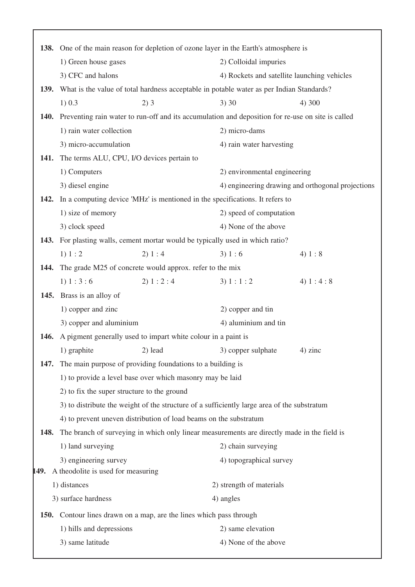|             | 138. One of the main reason for depletion of ozone layer in the Earth's atmosphere is             |              |                                                   |            |  |
|-------------|---------------------------------------------------------------------------------------------------|--------------|---------------------------------------------------|------------|--|
|             | 1) Green house gases                                                                              |              | 2) Colloidal impuries                             |            |  |
|             | 3) CFC and halons                                                                                 |              | 4) Rockets and satellite launching vehicles       |            |  |
| <b>139.</b> | What is the value of total hardness acceptable in potable water as per Indian Standards?          |              |                                                   |            |  |
|             | 1) 0.3                                                                                            | 2)3          | 3)30                                              | 4) 300     |  |
| <b>140.</b> | Preventing rain water to run-off and its accumulation and deposition for re-use on site is called |              |                                                   |            |  |
|             | 1) rain water collection                                                                          |              | 2) micro-dams                                     |            |  |
|             | 3) micro-accumulation                                                                             |              | 4) rain water harvesting                          |            |  |
| 141.        | The terms ALU, CPU, I/O devices pertain to                                                        |              |                                                   |            |  |
|             | 1) Computers                                                                                      |              | 2) environmental engineering                      |            |  |
|             | 3) diesel engine                                                                                  |              | 4) engineering drawing and orthogonal projections |            |  |
| 142.        | In a computing device 'MHz' is mentioned in the specifications. It refers to                      |              |                                                   |            |  |
|             | 1) size of memory                                                                                 |              | 2) speed of computation                           |            |  |
|             | 3) clock speed                                                                                    |              | 4) None of the above                              |            |  |
| 143.        | For plasting walls, cement mortar would be typically used in which ratio?                         |              |                                                   |            |  |
|             | 1) 1: 2                                                                                           | 2) 1 : 4     | 3) 1 : 6                                          | 4) 1 : 8   |  |
| 144.        | The grade M25 of concrete would approx. refer to the mix                                          |              |                                                   |            |  |
|             | 1) 1 : 3 : 6                                                                                      | 2) 1 : 2 : 4 | 3) 1 : 1 : 2                                      | 4) $1:4:8$ |  |
|             | 145. Brass is an alloy of                                                                         |              |                                                   |            |  |
|             | 1) copper and zinc                                                                                |              | 2) copper and tin                                 |            |  |
|             | 4) aluminium and tin<br>3) copper and aluminium                                                   |              |                                                   |            |  |
| 146.        | A pigment generally used to impart white colour in a paint is                                     |              |                                                   |            |  |
|             | 1) graphite                                                                                       | $2)$ lead    | 3) copper sulphate                                | $4)$ zinc  |  |
| 147.        | The main purpose of providing foundations to a building is                                        |              |                                                   |            |  |
|             | 1) to provide a level base over which masonry may be laid                                         |              |                                                   |            |  |
|             | 2) to fix the super structure to the ground                                                       |              |                                                   |            |  |
|             | 3) to distribute the weight of the structure of a sufficiently large area of the substratum       |              |                                                   |            |  |
|             | 4) to prevent uneven distribution of load beams on the substratum                                 |              |                                                   |            |  |
| 148.        | The branch of surveying in which only linear measurements are directly made in the field is       |              |                                                   |            |  |
|             | 1) land surveying                                                                                 |              | 2) chain surveying                                |            |  |
|             | 3) engineering survey                                                                             |              | 4) topographical survey                           |            |  |
| 149.        | A theodolite is used for measuring                                                                |              |                                                   |            |  |
|             | 1) distances                                                                                      |              | 2) strength of materials                          |            |  |
|             | 3) surface hardness<br>4) angles                                                                  |              |                                                   |            |  |
| <b>150.</b> | Contour lines drawn on a map, are the lines which pass through                                    |              |                                                   |            |  |
|             | 1) hills and depressions                                                                          |              | 2) same elevation                                 |            |  |
|             | 3) same latitude                                                                                  |              | 4) None of the above                              |            |  |